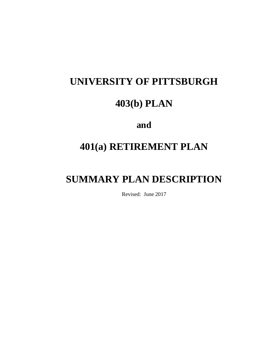## **UNIVERSITY OF PITTSBURGH**

## **403(b) PLAN**

## **and**

## **401(a) RETIREMENT PLAN**

# **SUMMARY PLAN DESCRIPTION**

Revised: June 2017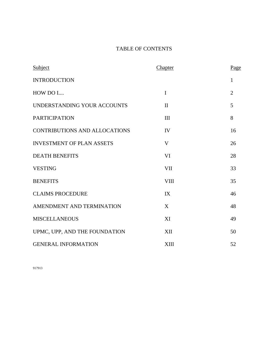## TABLE OF CONTENTS

| Subject                              | Chapter      | Page           |
|--------------------------------------|--------------|----------------|
| <b>INTRODUCTION</b>                  |              | $\mathbf{1}$   |
| HOW DO I                             | $\mathbf I$  | $\overline{2}$ |
| UNDERSTANDING YOUR ACCOUNTS          | $\mathbf{I}$ | 5              |
| <b>PARTICIPATION</b>                 | III          | 8              |
| <b>CONTRIBUTIONS AND ALLOCATIONS</b> | IV           | 16             |
| <b>INVESTMENT OF PLAN ASSETS</b>     | V            | 26             |
| <b>DEATH BENEFITS</b>                | VI           | 28             |
| <b>VESTING</b>                       | <b>VII</b>   | 33             |
| <b>BENEFITS</b>                      | <b>VIII</b>  | 35             |
| <b>CLAIMS PROCEDURE</b>              | IX           | 46             |
| AMENDMENT AND TERMINATION            | X            | 48             |
| <b>MISCELLANEOUS</b>                 | XI           | 49             |
| UPMC, UPP, AND THE FOUNDATION        | XII          | 50             |
| <b>GENERAL INFORMATION</b>           | XIII         | 52             |

917913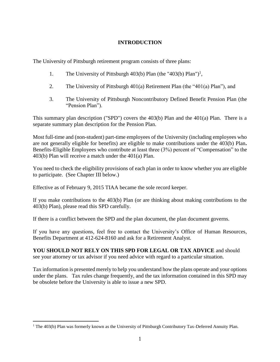## **INTRODUCTION**

The University of Pittsburgh retirement program consists of three plans:

- 1. The University of Pittsburgh 403(b) Plan (the "403(b) Plan")<sup>1</sup>,
- 2. The University of Pittsburgh 401(a) Retirement Plan (the "401(a) Plan"), and
- 3. The University of Pittsburgh Noncontributory Defined Benefit Pension Plan (the "Pension Plan").

This summary plan description ("SPD") covers the 403(b) Plan and the 401(a) Plan. There is a separate summary plan description for the Pension Plan.

Most full-time and (non-student) part-time employees of the University (including employees who are not generally eligible for benefits) are eligible to make contributions under the 403(b) Plan**.**  Benefits-Eligible Employees who contribute at least three (3%) percent of "Compensation" to the 403(b) Plan will receive a match under the 401(a) Plan.

You need to check the eligibility provisions of each plan in order to know whether you are eligible to participate. (See Chapter III below.)

Effective as of February 9, 2015 TIAA became the sole record keeper.

If you make contributions to the 403(b) Plan (or are thinking about making contributions to the 403(b) Plan), please read this SPD carefully.

If there is a conflict between the SPD and the plan document, the plan document governs.

If you have any questions, feel free to contact the University's Office of Human Resources, Benefits Department at 412-624-8160 and ask for a Retirement Analyst.

**YOU SHOULD NOT RELY ON THIS SPD FOR LEGAL OR TAX ADVICE** and should see your attorney or tax advisor if you need advice with regard to a particular situation.

Tax information is presented merely to help you understand how the plans operate and your options under the plans. Tax rules change frequently, and the tax information contained in this SPD may be obsolete before the University is able to issue a new SPD.

 $\overline{a}$ 

<sup>&</sup>lt;sup>1</sup> The 403(b) Plan was formerly known as the University of Pittsburgh Contributory Tax-Deferred Annuity Plan.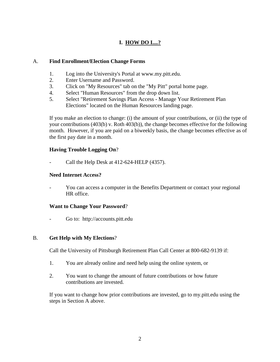## **I. HOW DO I....?**

## A. **Find Enrollment/Election Change Forms**

- 1. Log into the University's Portal at www.my.pitt.edu.
- 2. Enter Username and Password.
- 3. Click on "My Resources" tab on the "My Pitt" portal home page.
- 4. Select "Human Resources" from the drop down list.
- 5. Select "Retirement Savings Plan Access Manage Your Retirement Plan Elections" located on the Human Resources landing page.

If you make an election to change: (i) the amount of your contributions, or (ii) the type of your contributions (403(b) v. Roth 403(b)), the change becomes effective for the following month. However, if you are paid on a biweekly basis, the change becomes effective as of the first pay date in a month.

## **Having Trouble Logging On**?

Call the Help Desk at  $412-624$ -HELP (4357).

## **Need Internet Access?**

You can access a computer in the Benefits Department or contact your regional HR office.

## **Want to Change Your Password**?

Go to: http://accounts.pitt.edu

## B. **Get Help with My Elections**?

Call the University of Pittsburgh Retirement Plan Call Center at 800-682-9139 if:

- 1. You are already online and need help using the online system, or
- 2. You want to change the amount of future contributions or how future contributions are invested.

If you want to change how prior contributions are invested, go to my.pitt.edu using the steps in Section A above.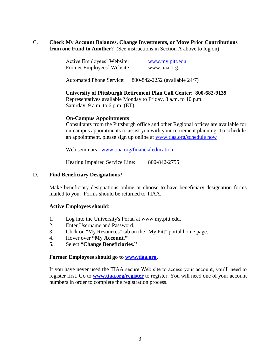C. **Check My Account Balances, Change Investments, or Move Prior Contributions from one Fund to Another**? (See instructions in Section A above to log on)

| Active Employees' Website: | www.my.pitt.edu |
|----------------------------|-----------------|
| Former Employees' Website: | www.tiaa.org.   |

Automated Phone Service: 800-842-2252 (available 24/7)

**University of Pittsburgh Retirement Plan Call Center**: **800-682-9139** Representatives available Monday to Friday, 8 a.m. to 10 p.m. Saturday, 9 a.m. to 6 p.m. (ET)

#### **On-Campus Appointments**

Consultants from the Pittsburgh office and other Regional offices are available for on-campus appointments to assist you with your retirement planning. To schedule an appointment, please sign up online at [www.tiaa.org/schedule now](http://www.tiaa.org/schedule%20now)

Web seminars: [www.tiaa.org/financialeducation](http://www.tiaa.org/financialeducation)

Hearing Impaired Service Line: 800-842-2755

#### D. **Find Beneficiary Designations**?

Make beneficiary designations online or choose to have beneficiary designation forms mailed to you. Forms should be returned to TIAA.

#### **Active Employees should**:

- 1. Log into the University's Portal at www.my.pitt.edu.
- 2. Enter Username and Password.
- 3. Click on "My Resources" tab on the "My Pitt" portal home page.
- 4. Hover over **"My Account."**
- 5. Select **"Change Beneficiaries."**

#### **Former Employees should go to [www.tiaa.org.](http://www.tiaa.org/)**

If you have never used the TIAA secure Web site to access your account, you'll need to register first. Go to **[www.tiaa.org/register](http://www.tiaa.org/register)** to register. You will need one of your account numbers in order to complete the registration process.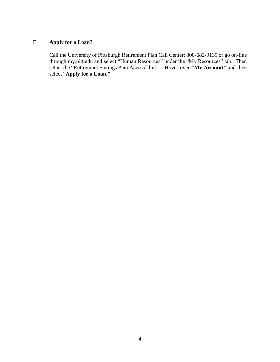## E. **Apply for a Loan?**

Call the University of Pittsburgh Retirement Plan Call Center: 800-682-9139 or go on-line through my.pitt.edu and select "Human Resources" under the "My Resources" tab. Then select the "Retirement Savings Plan Access" link. Hover over **"My Account"** and then select "**Apply for a Loan."**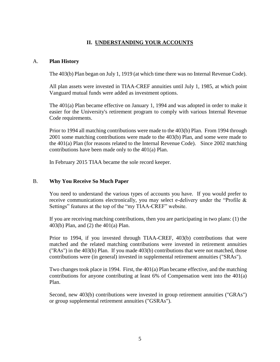## **II. UNDERSTANDING YOUR ACCOUNTS**

## A. **Plan History**

The 403(b) Plan began on July 1, 1919 (at which time there was no Internal Revenue Code).

All plan assets were invested in TIAA-CREF annuities until July 1, 1985, at which point Vanguard mutual funds were added as investment options.

The 401(a) Plan became effective on January 1, 1994 and was adopted in order to make it easier for the University's retirement program to comply with various Internal Revenue Code requirements.

Prior to 1994 all matching contributions were made to the 403(b) Plan. From 1994 through 2001 some matching contributions were made to the 403(b) Plan, and some were made to the 401(a) Plan (for reasons related to the Internal Revenue Code). Since 2002 matching contributions have been made only to the 401(a) Plan.

In February 2015 TIAA became the sole record keeper.

## B. **Why You Receive So Much Paper**

You need to understand the various types of accounts you have. If you would prefer to receive communications electronically, you may select e-delivery under the "Profile & Settings" features at the top of the "my TIAA-CREF" website.

If you are receiving matching contributions, then you are participating in two plans: (1) the 403(b) Plan, and (2) the 401(a) Plan.

Prior to 1994, if you invested through TIAA-CREF, 403(b) contributions that were matched and the related matching contributions were invested in retirement annuities ("RAs") in the 403(b) Plan. If you made 403(b) contributions that were not matched, those contributions were (in general) invested in supplemental retirement annuities ("SRAs").

Two changes took place in 1994. First, the 401(a) Plan became effective, and the matching contributions for anyone contributing at least 6% of Compensation went into the 401(a) Plan.

Second, new 403(b) contributions were invested in group retirement annuities ("GRAs") or group supplemental retirement annuities ("GSRAs").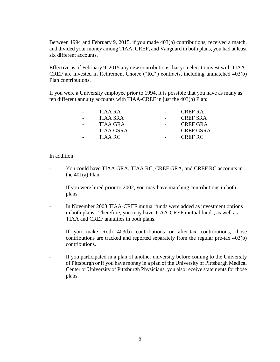Between 1994 and February 9, 2015, if you made 403(b) contributions, received a match, and divided your money among TIAA, CREF, and Vanguard in both plans, you had at least six different accounts.

Effective as of February 9, 2015 any new contributions that you elect to invest with TIAA-CREF are invested in Retirement Choice ("RC") contracts, including unmatched 403(b) Plan contributions.

If you were a University employee prior to 1994, it is possible that you have as many as ten different annuity accounts with TIAA-CREF in just the 403(b) Plan:

| TIAA RA   | <b>CREFRA</b>    |
|-----------|------------------|
| TIAA SRA  | <b>CREF SRA</b>  |
| TIAA GRA  | CREF GRA         |
| TIAA GSRA | <b>CREF GSRA</b> |
| TIAA RC   | <b>CREFRC</b>    |
|           |                  |

In addition:

- You could have TIAA GRA, TIAA RC, CREF GRA, and CREF RC accounts in the  $401(a)$  Plan.
- If you were hired prior to 2002, you may have matching contributions in both plans.
- In November 2003 TIAA-CREF mutual funds were added as investment options in both plans. Therefore, you may have TIAA-CREF mutual funds, as well as TIAA and CREF annuities in both plans.
- If you make Roth 403(b) contributions or after-tax contributions, those contributions are tracked and reported separately from the regular pre-tax 403(b) contributions.
- If you participated in a plan of another university before coming to the University of Pittsburgh or if you have money in a plan of the University of Pittsburgh Medical Center or University of Pittsburgh Physicians, you also receive statements for those plans.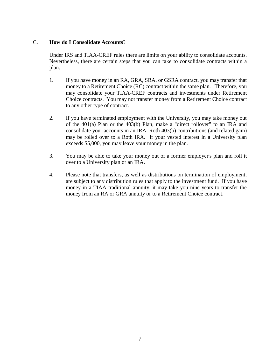## C. **How do I Consolidate Accounts**?

Under IRS and TIAA-CREF rules there are limits on your ability to consolidate accounts. Nevertheless, there are certain steps that you can take to consolidate contracts within a plan.

- 1. If you have money in an RA, GRA, SRA, or GSRA contract, you may transfer that money to a Retirement Choice (RC) contract within the same plan. Therefore, you may consolidate your TIAA-CREF contracts and investments under Retirement Choice contracts. You may not transfer money from a Retirement Choice contract to any other type of contract.
- 2. If you have terminated employment with the University, you may take money out of the 401(a) Plan or the 403(b) Plan, make a "direct rollover" to an IRA and consolidate your accounts in an IRA. Roth 403(b) contributions (and related gain) may be rolled over to a Roth IRA. If your vested interest in a University plan exceeds \$5,000, you may leave your money in the plan.
- 3. You may be able to take your money out of a former employer's plan and roll it over to a University plan or an IRA.
- 4. Please note that transfers, as well as distributions on termination of employment, are subject to any distribution rules that apply to the investment fund. If you have money in a TIAA traditional annuity, it may take you nine years to transfer the money from an RA or GRA annuity or to a Retirement Choice contract.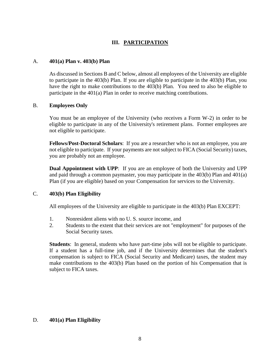## **III. PARTICIPATION**

#### A. **401(a) Plan v. 403(b) Plan**

As discussed in Sections B and C below, almost all employees of the University are eligible to participate in the 403(b) Plan. If you are eligible to participate in the 403(b) Plan, you have the right to make contributions to the 403(b) Plan. You need to also be eligible to participate in the 401(a) Plan in order to receive matching contributions.

#### B. **Employees Only**

You must be an employee of the University (who receives a Form W-2) in order to be eligible to participate in any of the University's retirement plans. Former employees are not eligible to participate.

**Fellows/Post-Doctoral Scholars**: If you are a researcher who is not an employee, you are not eligible to participate. If your payments are not subject to FICA (Social Security) taxes, you are probably not an employee.

**Dual Appointment with UPP**: If you are an employee of both the University and UPP and paid through a common paymaster, you may participate in the 403(b) Plan and 401(a) Plan (if you are eligible) based on your Compensation for services to the University.

## C. **403(b) Plan Eligibility**

All employees of the University are eligible to participate in the 403(b) Plan EXCEPT:

- 1. Nonresident aliens with no U. S. source income, and
- 2. Students to the extent that their services are not "employment" for purposes of the Social Security taxes.

**Students**: In general, students who have part-time jobs will not be eligible to participate. If a student has a full-time job, and if the University determines that the student's compensation is subject to FICA (Social Security and Medicare) taxes, the student may make contributions to the 403(b) Plan based on the portion of his Compensation that is subject to FICA taxes.

#### D. **401(a) Plan Eligibility**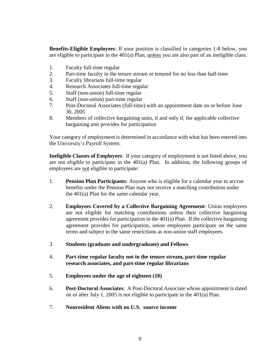**Benefits-Eligible Employees**: If your position is classified in categories 1-8 below, you are eligible to participate in the 401(a) Plan, unless you are also part of an ineligible class.

- 1. Faculty full-time regular
- 2. Part-time faculty in the tenure stream or tenured for no less than half-time
- 3. Faculty librarians full-time regular
- 4. Research Associates full-time regular
- 5. Staff (non-union) full-time regular
- 6. Staff (non-union) part-time regular
- 7. Post-Doctoral Associates (full-time) with an appointment date on or before June 30, 2005
- 8. Members of collective bargaining units, if and only if, the applicable collective bargaining unit provides for participation

Your category of employment is determined in accordance with what has been entered into the University's Payroll System.

**Ineligible Classes of Employees**: If your category of employment is not listed above, you are not eligible to participate in the 401(a) Plan. In addition, the following groups of employees are not eligible to participate:

- 1. **Pension Plan Participants**: Anyone who is eligible for a calendar year to accrue benefits under the Pension Plan may not receive a matching contribution under the 401(a) Plan for the same calendar year.
- 2. **Employees Covered by a Collective Bargaining Agreement**: Union employees are not eligible for matching contributions unless their collective bargaining agreement provides for participation in the  $401(a)$  Plan. If the collective bargaining agreement provides for participation, union employees participate on the same terms and subject to the same restrictions as non-union staff employees.
- 3. **Students (graduate and undergraduate) and Fellows**
- 4. **Part-time regular faculty not in the tenure stream, part-time regular research associates, and part-time regular librarians**
- 5. **Employees under the age of eighteen (18)**
- 6. **Post-Doctoral Associates**: A Post-Doctoral Associate whose appointment is dated on or after July 1, 2005 is not eligible to participate in the 401(a) Plan.
- 7. **Nonresident Aliens with no U.S. source income**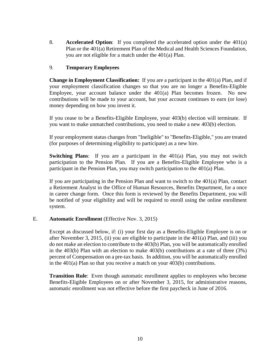8. **Accelerated Option**: If you completed the accelerated option under the 401(a) Plan or the 401(a) Retirement Plan of the Medical and Health Sciences Foundation, you are not eligible for a match under the 401(a) Plan.

## 9. **Temporary Employees**

**Change in Employment Classification:** If you are a participant in the 401(a) Plan, and if your employment classification changes so that you are no longer a Benefits-Eligible Employee, your account balance under the 401(a) Plan becomes frozen. No new contributions will be made to your account, but your account continues to earn (or lose) money depending on how you invest it.

If you cease to be a Benefits-Eligible Employee, your 403(b) election will terminate. If you want to make unmatched contributions, you need to make a new 403(b) election.

If your employment status changes from "Ineligible" to "Benefits-Eligible," you are treated (for purposes of determining eligibility to participate) as a new hire.

**Switching Plans**: If you are a participant in the 401(a) Plan, you may not switch participation to the Pension Plan. If you are a Benefits-Eligible Employee who is a participant in the Pension Plan, you may switch participation to the 401(a) Plan.

If you are participating in the Pension Plan and want to switch to the 401(a) Plan, contact a Retirement Analyst in the Office of Human Resources, Benefits Department, for a once in career change form. Once this form is reviewed by the Benefits Department, you will be notified of your eligibility and will be required to enroll using the online enrollment system.

## E. **Automatic Enrollment** (Effective Nov. 3, 2015)

Except as discussed below, if: (i) your first day as a Benefits-Eligible Employee is on or after November 3, 2015, (ii) you are eligible to participate in the  $401(a)$  Plan, and (iii) you do not make an election to contribute to the 403(b) Plan, you will be automatically enrolled in the 403(b) Plan with an election to make 403(b) contributions at a rate of three (3%) percent of Compensation on a pre-tax basis. In addition, you will be automatically enrolled in the 401(a) Plan so that you receive a match on your 403(b) contributions.

**Transition Rule**: Even though automatic enrollment applies to employees who become Benefits-Eligible Employees on or after November 3, 2015, for administrative reasons, automatic enrollment was not effective before the first paycheck in June of 2016.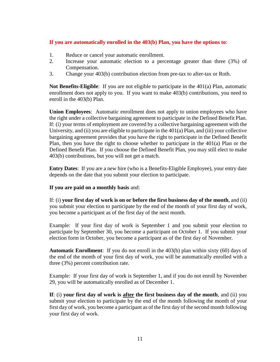## **If you are automatically enrolled in the 403(b) Plan, you have the options to**:

- 1. Reduce or cancel your automatic enrollment.
- 2. Increase your automatic election to a percentage greater than three (3%) of Compensation.
- 3. Change your 403(b) contribution election from pre-tax to after-tax or Roth.

**Not Benefits-Eligible**: If you are not eligible to participate in the 401(a) Plan, automatic enrollment does not apply to you. If you want to make 403(b) contributions, you need to enroll in the 403(b) Plan.

**Union Employees**: Automatic enrollment does not apply to union employees who have the right under a collective bargaining agreement to participate in the Defined Benefit Plan. If: (i) your terms of employment are covered by a collective bargaining agreement with the University, and (ii) you are eligible to participate in the 401(a) Plan, and (iii) your collective bargaining agreement provides that you have the right to participate in the Defined Benefit Plan, then you have the right to choose whether to participate in the  $401(a)$  Plan or the Defined Benefit Plan. If you choose the Defined Benefit Plan, you may still elect to make 403(b) contributions, but you will not get a match.

**Entry Dates**: If you are a new hire (who is a Benefits-Eligible Employee), your entry date depends on the date that you submit your election to participate.

## **If you are paid on a monthly basis** and:

If: (i) **your first day of work is on or before the first business day of the month**, and (ii) you submit your election to participate by the end of the month of your first day of work, you become a participant as of the first day of the next month.

Example: If your first day of work is September 1 and you submit your election to participate by September 30, you become a participant on October 1. If you submit your election form in October, you become a participant as of the first day of November.

**Automatic Enrollment**: If you do not enroll in the 403(b) plan within sixty (60) days of the end of the month of your first day of work, you will be automatically enrolled with a three (3%) percent contribution rate.

Example: If your first day of work is September 1, and if you do not enroll by November 29, you will be automatically enrolled as of December 1.

**If**: (i) **your first day of work is after the first business day of the month**, and (ii) you submit your election to participate by the end of the month following the month of your first day of work, you become a participant as of the first day of the second month following your first day of work.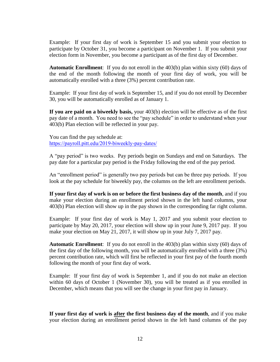Example: If your first day of work is September 15 and you submit your election to participate by October 31, you become a participant on November 1. If you submit your election form in November, you become a participant as of the first day of December.

**Automatic Enrollment**: If you do not enroll in the 403(b) plan within sixty (60) days of the end of the month following the month of your first day of work, you will be automatically enrolled with a three (3%) percent contribution rate.

Example: If your first day of work is September 15, and if you do not enroll by December 30, you will be automatically enrolled as of January 1.

**If you are paid on a biweekly basis,** your 403(b) election will be effective as of the first pay date of a month. You need to see the "pay schedule" in order to understand when your 403(b) Plan election will be reflected in your pay.

You can find the pay schedule at: [https://payroll.pitt.edu/2019-biweekly-pay-dates](https://payroll.pitt.edu/2019-biweekly-pay-dates/)[/](http://hr.pitt.edu/sites/default/files/uploads/Pitt_Payroll_Schedule.pdf)

A "pay period" is two weeks. Pay periods begin on Sundays and end on Saturdays. The pay date for a particular pay period is the Friday following the end of the pay period.

An "enrollment period" is generally two pay periods but can be three pay periods. If you look at the pay schedule for biweekly pay, the columns on the left are enrollment periods.

**If your first day of work is on or before the first business day of the month**, and if you make your election during an enrollment period shown in the left hand columns, your 403(b) Plan election will show up in the pay shown in the corresponding far right column.

Example: If your first day of work is May 1, 2017 and you submit your election to participate by May 20, 2017, your election will show up in your June 9, 2017 pay. If you make your election on May 21, 2017, it will show up in your July 7, 2017 pay.

**Automatic Enrollment**: If you do not enroll in the 403(b) plan within sixty (60) days of the first day of the following month, you will be automatically enrolled with a three (3%) percent contribution rate, which will first be reflected in your first pay of the fourth month following the month of your first day of work.

Example: If your first day of work is September 1, and if you do not make an election within 60 days of October 1 (November 30), you will be treated as if you enrolled in December, which means that you will see the change in your first pay in January.

**If your first day of work is after the first business day of the month**, and if you make your election during an enrollment period shown in the left hand columns of the pay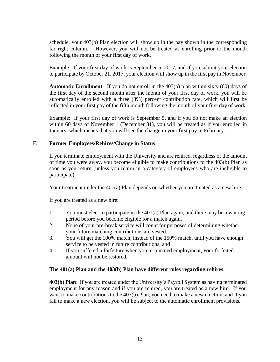schedule, your 403(b) Plan election will show up in the pay shown in the corresponding far right column. However, you will not be treated as enrolling prior to the month following the month of your first day of work.

Example: If your first day of work is September 5, 2017, and if you submit your election to participate by October 21, 2017, your election will show up in the first pay in November.

**Automatic Enrollment**: If you do not enroll in the 403(b) plan within sixty (60) days of the first day of the second month after the month of your first day of work, you will be automatically enrolled with a three (3%) percent contribution rate, which will first be reflected in your first pay of the fifth month following the month of your first day of work.

Example: If your first day of work is September 5, and if you do not make an election within 60 days of November 1 (December 31), you will be treated as if you enrolled in January, which means that you will see the change in your first pay in February.

## F. **Former Employees/Rehires/Change in Status**

If you terminate employment with the University and are rehired, regardless of the amount of time you were away, you become eligible to make contributions to the 403(b) Plan as soon as you return (unless you return in a category of employees who are ineligible to participate).

Your treatment under the 401(a) Plan depends on whether you are treated as a new hire.

If you are treated as a new hire:

- 1. You must elect to participate in the 401(a) Plan again, and there may be a waiting period before you become eligible for a match again.
- 2. None of your pre-break service will count for purposes of determining whether your future matching contributions are vested.
- 3. You will get the 100% match, instead of the 150% match, until you have enough service to be vested in future contributions, and
- 4. If you suffered a forfeiture when you terminated employment, your forfeited amount will not be restored.

## **The 401(a) Plan and the 403(b) Plan have different rules regarding rehires**.

**403(b) Plan**: If you are treated under the University's Payroll System as having terminated employment for any reason and if you are rehired, you are treated as a new hire. If you want to make contributions to the 403(b) Plan, you need to make a new election, and if you fail to make a new election, you will be subject to the automatic enrollment provisions.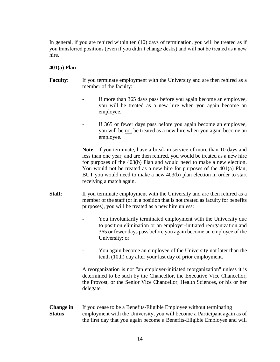In general, if you are rehired within ten (10) days of termination, you will be treated as if you transferred positions (even if you didn't change desks) and will not be treated as a new hire.

## **401(a) Plan**

- **Faculty:** If you terminate employment with the University and are then rehired as a member of the faculty:
	- If more than 365 days pass before you again become an employee, you will be treated as a new hire when you again become an employee.
	- If 365 or fewer days pass before you again become an employee, you will be not be treated as a new hire when you again become an employee.

**Note**: If you terminate, have a break in service of more than 10 days and less than one year, and are then rehired, you would be treated as a new hire for purposes of the 403(b) Plan and would need to make a new election. You would not be treated as a new hire for purposes of the 401(a) Plan, BUT you would need to make a new 403(b) plan election in order to start receiving a match again.

- **Staff**: If you terminate employment with the University and are then rehired as a member of the staff (or in a position that is not treated as faculty for benefits purposes), you will be treated as a new hire unless:
	- You involuntarily terminated employment with the University due to position elimination or an employer-initiated reorganization and 365 or fewer days pass before you again become an employee of the University; or
	- You again become an employee of the University not later than the tenth (10th) day after your last day of prior employment.

A reorganization is not "an employer-initiated reorganization" unless it is determined to be such by the Chancellor, the Executive Vice Chancellor, the Provost, or the Senior Vice Chancellor, Health Sciences, or his or her delegate.

## **Change in** If you cease to be a Benefits-Eligible Employee without terminating **Status** employment with the University, you will become a Participant again as of the first day that you again become a Benefits-Eligible Employee and will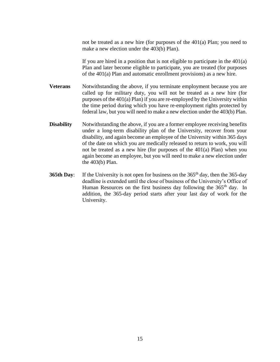not be treated as a new hire (for purposes of the 401(a) Plan; you need to make a new election under the 403(b) Plan).

If you are hired in a position that is not eligible to participate in the  $401(a)$ Plan and later become eligible to participate, you are treated (for purposes of the 401(a) Plan and automatic enrollment provisions) as a new hire.

- **Veterans** Notwithstanding the above, if you terminate employment because you are called up for military duty, you will not be treated as a new hire (for purposes of the 401(a) Plan) if you are re-employed by the University within the time period during which you have re-employment rights protected by federal law, but you will need to make a new election under the 403(b) Plan.
- **Disability** Notwithstanding the above, if you are a former employee receiving benefits under a long-term disability plan of the University, recover from your disability, and again become an employee of the University within 365 days of the date on which you are medically released to return to work, you will not be treated as a new hire (for purposes of the 401(a) Plan) when you again become an employee, but you will need to make a new election under the 403(b) Plan.
- **365th Day**: If the University is not open for business on the  $365<sup>th</sup>$  day, then the  $365$ -day deadline is extended until the close of business of the University's Office of Human Resources on the first business day following the  $365<sup>th</sup>$  day. In addition, the 365-day period starts after your last day of work for the University.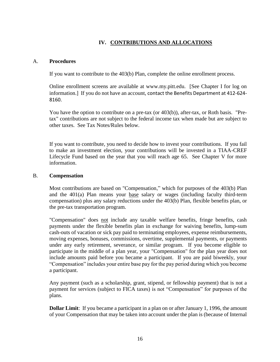## **IV. CONTRIBUTIONS AND ALLOCATIONS**

## A. **Procedures**

If you want to contribute to the 403(b) Plan, complete the online enrollment process.

Online enrollment screens are available at www.my.pitt.edu. [See Chapter I for log on information.] If you do not have an account, contact the Benefits Department at 412-624- 8160.

You have the option to contribute on a pre-tax (or 403(b)), after-tax, or Roth basis. "Pretax" contributions are not subject to the federal income tax when made but are subject to other taxes. See Tax Notes/Rules below.

If you want to contribute, you need to decide how to invest your contributions. If you fail to make an investment election, your contributions will be invested in a TIAA-CREF Lifecycle Fund based on the year that you will reach age 65. See Chapter V for more information.

## B. **Compensation**

Most contributions are based on "Compensation," which for purposes of the 403(b) Plan and the  $401(a)$  Plan means your base salary or wages (including faculty third-term compensation) plus any salary reductions under the 403(b) Plan, flexible benefits plan, or the pre-tax transportation program.

"Compensation" does not include any taxable welfare benefits, fringe benefits, cash payments under the flexible benefits plan in exchange for waiving benefits, lump-sum cash-outs of vacation or sick pay paid to terminating employees, expense reimbursements, moving expenses, bonuses, commissions, overtime, supplemental payments, or payments under any early retirement, severance, or similar program. If you become eligible to participate in the middle of a plan year, your "Compensation" for the plan year does not include amounts paid before you became a participant. If you are paid biweekly, your "Compensation" includes your entire base pay for the pay period during which you become a participant.

Any payment (such as a scholarship, grant, stipend, or fellowship payment) that is not a payment for services (subject to FICA taxes) is not "Compensation" for purposes of the plans.

**Dollar Limit**: If you became a participant in a plan on or after January 1, 1996, the amount of your Compensation that may be taken into account under the plan is (because of Internal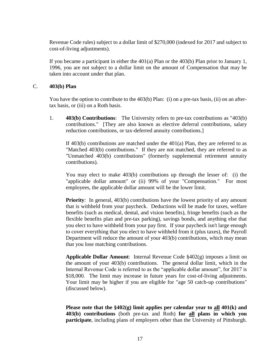Revenue Code rules) subject to a dollar limit of \$270,000 (indexed for 2017 and subject to cost-of-living adjustments).

If you became a participant in either the 401(a) Plan or the 403(b) Plan prior to January 1, 1996, you are not subject to a dollar limit on the amount of Compensation that may be taken into account under that plan.

## C. **403(b) Plan**

You have the option to contribute to the 403(b) Plan: (i) on a pre-tax basis, (ii) on an aftertax basis, or (iii) on a Roth basis.

1. **403(b) Contributions**: The University refers to pre-tax contributions as "403(b) contributions." [They are also known as elective deferral contributions, salary reduction contributions, or tax-deferred annuity contributions.]

If  $403(b)$  contributions are matched under the  $401(a)$  Plan, they are referred to as "Matched 403(b) contributions." If they are not matched, they are referred to as "Unmatched 403(b) contributions" (formerly supplemental retirement annuity contributions).

You may elect to make 403(b) contributions up through the lesser of: (i) the "applicable dollar amount" or (ii) 99% of your "Compensation." For most employees, the applicable dollar amount will be the lower limit.

**Priority**: In general, 403(b) contributions have the lowest priority of any amount that is withheld from your paycheck. Deductions will be made for taxes, welfare benefits (such as medical, dental, and vision benefits), fringe benefits (such as the flexible benefits plan and pre-tax parking), savings bonds, and anything else that you elect to have withheld from your pay first. If your paycheck isn't large enough to cover everything that you elect to have withheld from it (plus taxes), the Payroll Department will reduce the amount of your 403(b) contributions, which may mean that you lose matching contributions.

**Applicable Dollar Amount**: Internal Revenue Code §402(g) imposes a limit on the amount of your 403(b) contributions. The general dollar limit, which in the Internal Revenue Code is referred to as the "applicable dollar amount", for 2017 is \$18,000. The limit may increase in future years for cost-of-living adjustments. Your limit may be higher if you are eligible for "age 50 catch-up contributions" (discussed below).

**Please note that the §402(g) limit applies per calendar year to all 401(k) and 403(b) contributions** (both pre-tax and Roth) **for all plans in which you participate**, including plans of employers other than the University of Pittsburgh.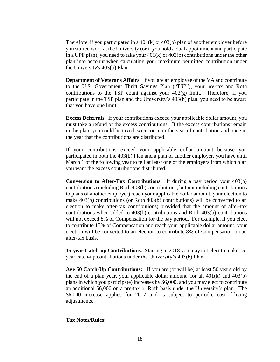Therefore, if you participated in a 401(k) or 403(b) plan of another employer before you started work at the University (or if you hold a dual appointment and participate in a UPP plan), you need to take your  $401(k)$  or  $403(b)$  contributions under the other plan into account when calculating your maximum permitted contribution under the University's 403(b) Plan.

**Department of Veterans Affairs**: If you are an employee of the VA and contribute to the U.S. Government Thrift Savings Plan ("TSP"), your pre-tax and Roth contributions to the TSP count against your 402(g) limit. Therefore, if you participate in the TSP plan and the University's 403(b) plan, you need to be aware that you have one limit.

**Excess Deferrals**: If your contributions exceed your applicable dollar amount, you must take a refund of the excess contributions. If the excess contributions remain in the plan, you could be taxed twice, once in the year of contribution and once in the year that the contributions are distributed.

If your contributions exceed your applicable dollar amount because you participated in both the 403(b) Plan and a plan of another employer, you have until March 1 of the following year to tell at least one of the employers from which plan you want the excess contributions distributed.

**Conversion to After-Tax Contributions**: If during a pay period your 403(b) contributions (including Roth 403(b) contributions, but not including contributions to plans of another employer) reach your applicable dollar amount, your election to make 403(b) contributions (or Roth 403(b) contributions) will be converted to an election to make after-tax contributions; provided that the amount of after-tax contributions when added to 403(b) contributions and Roth 403(b) contributions will not exceed 8% of Compensation for the pay period. For example, if you elect to contribute 15% of Compensation and reach your applicable dollar amount, your election will be converted to an election to contribute 8% of Compensation on an after-tax basis.

**15-year Catch-up Contributions**: Starting in 2018 you may not elect to make 15 year catch-up contributions under the University's 403(b) Plan.

**Age 50 Catch-Up Contributions:** If you are (or will be) at least 50 years old by the end of a plan year, your applicable dollar amount (for all  $401(k)$  and  $403(b)$ ) plans in which you participate) increases by \$6,000, and you may elect to contribute an additional \$6,000 on a pre-tax or Roth basis under the University's plan. The \$6,000 increase applies for 2017 and is subject to periodic cost-of-living adjustments.

#### **Tax Notes/Rules**: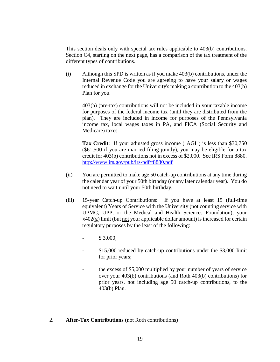This section deals only with special tax rules applicable to 403(b) contributions. Section C4, starting on the next page, has a comparison of the tax treatment of the different types of contributions.

(i) Although this SPD is written as if you make 403(b) contributions, under the Internal Revenue Code you are agreeing to have your salary or wages reduced in exchange for the University's making a contribution to the 403(b) Plan for you.

403(b) (pre-tax) contributions will not be included in your taxable income for purposes of the federal income tax (until they are distributed from the plan). They are included in income for purposes of the Pennsylvania income tax, local wages taxes in PA, and FICA (Social Security and Medicare) taxes.

**Tax Credit**: If your adjusted gross income ("AGI") is less than \$30,750 (\$61,500 if you are married filing jointly), you may be eligible for a tax credit for 403(b) contributions not in excess of \$2,000. See IRS Form 8880. <http://www.irs.gov/pub/irs-pdf/f8880.pdf>

- (ii) You are permitted to make age 50 catch-up contributions at any time during the calendar year of your 50th birthday (or any later calendar year). You do not need to wait until your 50th birthday.
- (iii) 15-year Catch-up Contributions: If you have at least 15 (full-time equivalent) Years of Service with the University (not counting service with UPMC, UPP, or the Medical and Health Sciences Foundation), your  $§402(g)$  limit (but not your applicable dollar amount) is increased for certain regulatory purposes by the least of the following:
	- $$3,000;$
	- \$15,000 reduced by catch-up contributions under the \$3,000 limit for prior years;
	- the excess of \$5,000 multiplied by your number of years of service over your 403(b) contributions (and Roth 403(b) contributions) for prior years, not including age 50 catch-up contributions, to the 403(b) Plan.
- 2. **After-Tax Contributions** (not Roth contributions)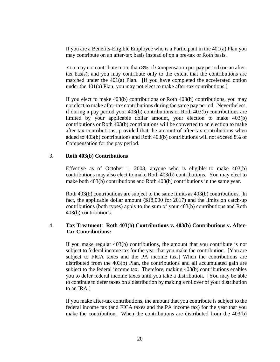If you are a Benefits-Eligible Employee who is a Participant in the 401(a) Plan you may contribute on an after-tax basis instead of on a pre-tax or Roth basis.

You may not contribute more than 8% of Compensation per pay period (on an aftertax basis), and you may contribute only to the extent that the contributions are matched under the 401(a) Plan. [If you have completed the accelerated option under the 401(a) Plan, you may not elect to make after-tax contributions.]

If you elect to make 403(b) contributions or Roth 403(b) contributions, you may not elect to make after-tax contributions during the same pay period. Nevertheless, if during a pay period your 403(b) contributions or Roth 403(b) contributions are limited by your applicable dollar amount, your election to make 403(b) contributions or Roth 403(b) contributions will be converted to an election to make after-tax contributions; provided that the amount of after-tax contributions when added to 403(b) contributions and Roth 403(b) contributions will not exceed 8% of Compensation for the pay period.

## 3. **Roth 403(b) Contributions**

Effective as of October 1, 2008, anyone who is eligible to make 403(b) contributions may also elect to make Roth 403(b) contributions. You may elect to make both 403(b) contributions and Roth 403(b) contributions in the same year.

Roth 403(b) contributions are subject to the same limits as 403(b) contributions. In fact, the applicable dollar amount (\$18,000 for 2017) and the limits on catch-up contributions (both types) apply to the sum of your 403(b) contributions and Roth 403(b) contributions.

## 4. **Tax Treatment**: **Roth 403(b) Contributions v. 403(b) Contributions v. After-Tax Contributions:**

If you make regular 403(b) contributions, the amount that you contribute is not subject to federal income tax for the year that you make the contribution. [You are subject to FICA taxes and the PA income tax.] When the contributions are distributed from the 403(b) Plan, the contributions and all accumulated gain are subject to the federal income tax. Therefore, making 403(b) contributions enables you to defer federal income taxes until you take a distribution. [You may be able to continue to defer taxes on a distribution by making a rollover of your distribution to an IRA.]

If you make after-tax contributions, the amount that you contribute is subject to the federal income tax (and FICA taxes and the PA income tax) for the year that you make the contribution. When the contributions are distributed from the 403(b)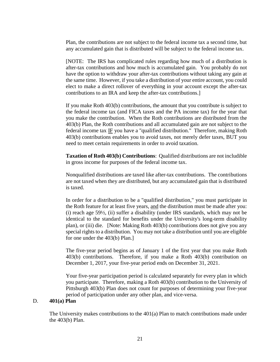Plan, the contributions are not subject to the federal income tax a second time, but any accumulated gain that is distributed will be subject to the federal income tax.

[NOTE: The IRS has complicated rules regarding how much of a distribution is after-tax contributions and how much is accumulated gain. You probably do not have the option to withdraw your after-tax contributions without taking any gain at the same time. However, if you take a distribution of your entire account, you could elect to make a direct rollover of everything in your account except the after-tax contributions to an IRA and keep the after-tax contributions.]

If you make Roth 403(b) contributions, the amount that you contribute is subject to the federal income tax (and FICA taxes and the PA income tax) for the year that you make the contribution. When the Roth contributions are distributed from the 403(b) Plan, the Roth contributions and all accumulated gain are not subject to the federal income tax IF you have a "qualified distribution." Therefore, making Roth 403(b) contributions enables you to avoid taxes, not merely defer taxes, BUT you need to meet certain requirements in order to avoid taxation.

**Taxation of Roth 403(b) Contributions**: Qualified distributions are not includible in gross income for purposes of the federal income tax.

Nonqualified distributions are taxed like after-tax contributions. The contributions are not taxed when they are distributed, but any accumulated gain that is distributed is taxed.

In order for a distribution to be a "qualified distribution," you must participate in the Roth feature for at least five years, and the distribution must be made after you: (i) reach age 59½, (ii) suffer a disability (under IRS standards, which may not be identical to the standard for benefits under the University's long-term disability plan), or (iii) die. [Note: Making Roth 403(b) contributions does not give you any special rights to a distribution. You may not take a distribution until you are eligible for one under the 403(b) Plan.]

The five-year period begins as of January 1 of the first year that you make Roth 403(b) contributions. Therefore, if you make a Roth 403(b) contribution on December 1, 2017, your five-year period ends on December 31, 2021.

Your five-year participation period is calculated separately for every plan in which you participate. Therefore, making a Roth 403(b) contribution to the University of Pittsburgh 403(b) Plan does not count for purposes of determining your five-year period of participation under any other plan, and vice-versa.

#### D. **401(a) Plan**

The University makes contributions to the 401(a) Plan to match contributions made under the 403(b) Plan.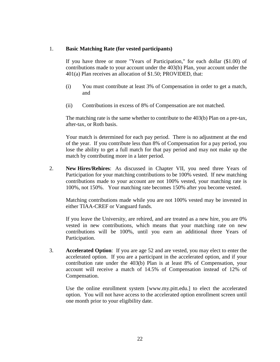#### 1. **Basic Matching Rate (for vested participants)**

If you have three or more "Years of Participation," for each dollar (\$1.00) of contributions made to your account under the 403(b) Plan, your account under the 401(a) Plan receives an allocation of \$1.50; PROVIDED, that:

- (i) You must contribute at least 3% of Compensation in order to get a match, and
- (ii) Contributions in excess of 8% of Compensation are not matched.

The matching rate is the same whether to contribute to the 403(b) Plan on a pre-tax, after-tax, or Roth basis.

Your match is determined for each pay period. There is no adjustment at the end of the year. If you contribute less than 8% of Compensation for a pay period, you lose the ability to get a full match for that pay period and may not make up the match by contributing more in a later period.

2. **New Hires/Rehires**: As discussed in Chapter VII, you need three Years of Participation for your matching contributions to be 100% vested. If new matching contributions made to your account are not 100% vested, your matching rate is 100%, not 150%. Your matching rate becomes 150% after you become vested.

Matching contributions made while you are not 100% vested may be invested in either TIAA-CREF or Vanguard funds.

If you leave the University, are rehired, and are treated as a new hire, you are 0% vested in new contributions, which means that your matching rate on new contributions will be 100%, until you earn an additional three Years of Participation.

3. **Accelerated Option**: If you are age 52 and are vested, you may elect to enter the accelerated option. If you are a participant in the accelerated option, and if your contribution rate under the 403(b) Plan is at least 8% of Compensation, your account will receive a match of 14.5% of Compensation instead of 12% of Compensation.

Use the online enrollment system [www.my.pitt.edu.] to elect the accelerated option. You will not have access to the accelerated option enrollment screen until one month prior to your eligibility date.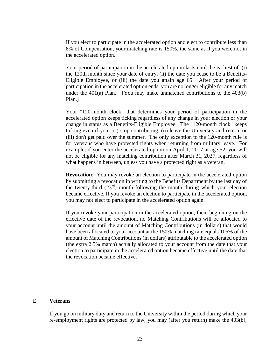If you elect to participate in the accelerated option and elect to contribute less than 8% of Compensation, your matching rate is 150%, the same as if you were not in the accelerated option.

Your period of participation in the accelerated option lasts until the earliest of: (i) the 120th month since your date of entry, (ii) the date you cease to be a Benefits-Eligible Employee, or (iii) the date you attain age 65. After your period of participation in the accelerated option ends, you are no longer eligible for any match under the  $401(a)$  Plan. [You may make unmatched contributions to the  $403(b)$ ] Plan.]

Your "120-month clock" that determines your period of participation in the accelerated option keeps ticking regardless of any change in your election or your change in status as a Benefits-Eligible Employee. The "120-month clock" keeps ticking even if you: (i) stop contributing, (ii) leave the University and return, or (iii) don't get paid over the summer. The only exception to the 120-month rule is for veterans who have protected rights when returning from military leave. For example, if you enter the accelerated option on April 1, 2017 at age 52, you will not be eligible for any matching contribution after March 31, 2027, regardless of what happens in between, unless you have a protected right as a veteran.

**Revocation:** You may revoke an election to participate in the accelerated option by submitting a revocation in writing to the Benefits Department by the last day of the twenty-third  $(23^{rd})$  month following the month during which your election became effective. If you revoke an election to participate in the accelerated option, you may not elect to participate in the accelerated option again.

If you revoke your participation in the accelerated option, then, beginning on the effective date of the revocation, no Matching Contributions will be allocated to your account until the amount of Matching Contributions (in dollars) that would have been allocated to your account at the 150% matching rate equals 105% of the amount of Matching Contributions (in dollars) attributable to the accelerated option (the extra 2.5% match) actually allocated to your account from the date that your election to participate in the accelerated option became effective until the date that the revocation became effective.

#### E. **Veterans**

If you go on military duty and return to the University within the period during which your re-employment rights are protected by law, you may (after you return) make the 403(b),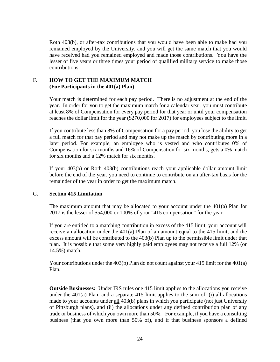Roth 403(b), or after-tax contributions that you would have been able to make had you remained employed by the University, and you will get the same match that you would have received had you remained employed and made those contributions. You have the lesser of five years or three times your period of qualified military service to make those contributions.

## F. **HOW TO GET THE MAXIMUM MATCH (For Participants in the 401(a) Plan)**

Your match is determined for each pay period. There is no adjustment at the end of the year. In order for you to get the maximum match for a calendar year, you must contribute at least 8% of Compensation for every pay period for that year or until your compensation reaches the dollar limit for the year (\$270,000 for 2017) for employees subject to the limit.

If you contribute less than 8% of Compensation for a pay period, you lose the ability to get a full match for that pay period and may not make up the match by contributing more in a later period. For example, an employee who is vested and who contributes 0% of Compensation for six months and 16% of Compensation for six months, gets a 0% match for six months and a 12% match for six months.

If your 403(b) or Roth 403(b) contributions reach your applicable dollar amount limit before the end of the year, you need to continue to contribute on an after-tax basis for the remainder of the year in order to get the maximum match.

## G. **Section 415 Limitation**

The maximum amount that may be allocated to your account under the 401(a) Plan for 2017 is the lesser of \$54,000 or 100% of your "415 compensation" for the year.

If you are entitled to a matching contribution in excess of the 415 limit, your account will receive an allocation under the 401(a) Plan of an amount equal to the 415 limit, and the excess amount will be contributed to the 403(b) Plan up to the permissible limit under that plan. It is possible that some very highly paid employees may not receive a full 12% (or 14.5%) match.

Your contributions under the 403(b) Plan do not count against your 415 limit for the 401(a) Plan.

**Outside Businesses:** Under IRS rules one 415 limit applies to the allocations you receive under the 401(a) Plan, and a separate 415 limit applies to the sum of: (i) all allocations made to your accounts under all 403(b) plans in which you participate (not just University of Pittsburgh plans), and (ii) the allocations under any defined contribution plan of any trade or business of which you own more than 50%. For example, if you have a consulting business (that you own more than 50% of), and if that business sponsors a defined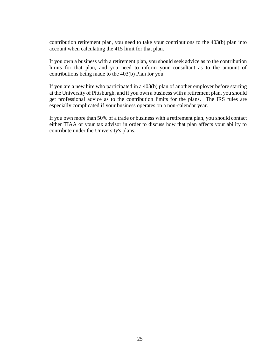contribution retirement plan, you need to take your contributions to the 403(b) plan into account when calculating the 415 limit for that plan.

If you own a business with a retirement plan, you should seek advice as to the contribution limits for that plan, and you need to inform your consultant as to the amount of contributions being made to the 403(b) Plan for you.

If you are a new hire who participated in a 403(b) plan of another employer before starting at the University of Pittsburgh, and if you own a business with a retirement plan, you should get professional advice as to the contribution limits for the plans. The IRS rules are especially complicated if your business operates on a non-calendar year.

If you own more than 50% of a trade or business with a retirement plan, you should contact either TIAA or your tax advisor in order to discuss how that plan affects your ability to contribute under the University's plans.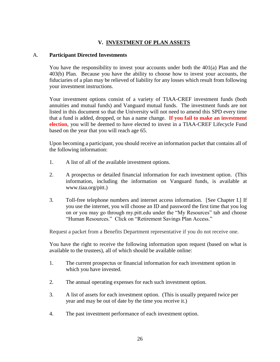## **V. INVESTMENT OF PLAN ASSETS**

## A. **Participant Directed Investments**

You have the responsibility to invest your accounts under both the 401(a) Plan and the 403(b) Plan. Because you have the ability to choose how to invest your accounts, the fiduciaries of a plan may be relieved of liability for any losses which result from following your investment instructions.

Your investment options consist of a variety of TIAA-CREF investment funds (both annuities and mutual funds) and Vanguard mutual funds. The investment funds are not listed in this document so that the University will not need to amend this SPD every time that a fund is added, dropped, or has a name change. **If you fail to make an investment election**, you will be deemed to have elected to invest in a TIAA-CREF Lifecycle Fund based on the year that you will reach age 65.

Upon becoming a participant, you should receive an information packet that contains all of the following information:

- 1. A list of all of the available investment options.
- 2. A prospectus or detailed financial information for each investment option. (This information, including the information on Vanguard funds, is available at www.tiaa.org/pitt.)
- 3. Toll-free telephone numbers and internet access information. [See Chapter I.] If you use the internet, you will choose an ID and password the first time that you log on or you may go through my.pitt.edu under the "My Resources" tab and choose "Human Resources." Click on "Retirement Savings Plan Access."

Request a packet from a Benefits Department representative if you do not receive one.

You have the right to receive the following information upon request (based on what is available to the trustees), all of which should be available online:

- 1. The current prospectus or financial information for each investment option in which you have invested.
- 2. The annual operating expenses for each such investment option.
- 3. A list of assets for each investment option. (This is usually prepared twice per year and may be out of date by the time you receive it.)
- 4. The past investment performance of each investment option.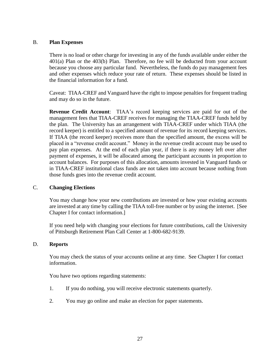## B. **Plan Expenses**

There is no load or other charge for investing in any of the funds available under either the 401(a) Plan or the 403(b) Plan. Therefore, no fee will be deducted from your account because you choose any particular fund. Nevertheless, the funds do pay management fees and other expenses which reduce your rate of return. These expenses should be listed in the financial information for a fund.

Caveat: TIAA-CREF and Vanguard have the right to impose penalties for frequent trading and may do so in the future.

**Revenue Credit Account**: TIAA's record keeping services are paid for out of the management fees that TIAA-CREF receives for managing the TIAA-CREF funds held by the plan. The University has an arrangement with TIAA-CREF under which TIAA (the record keeper) is entitled to a specified amount of revenue for its record keeping services. If TIAA (the record keeper) receives more than the specified amount, the excess will be placed in a "revenue credit account." Money in the revenue credit account may be used to pay plan expenses. At the end of each plan year, if there is any money left over after payment of expenses, it will be allocated among the participant accounts in proportion to account balances. For purposes of this allocation, amounts invested in Vanguard funds or in TIAA-CREF institutional class funds are not taken into account because nothing from those funds goes into the revenue credit account.

## C. **Changing Elections**

You may change how your new contributions are invested or how your existing accounts are invested at any time by calling the TIAA toll-free number or by using the internet. [See Chapter I for contact information.]

If you need help with changing your elections for future contributions, call the University of Pittsburgh Retirement Plan Call Center at 1-800-682-9139.

## D. **Reports**

You may check the status of your accounts online at any time. See Chapter I for contact information.

You have two options regarding statements:

- 1. If you do nothing, you will receive electronic statements quarterly.
- 2. You may go online and make an election for paper statements.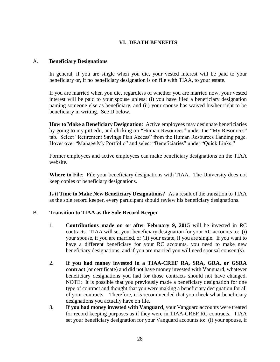## **VI. DEATH BENEFITS**

#### A. **Beneficiary Designations**

In general, if you are single when you die, your vested interest will be paid to your beneficiary or, if no beneficiary designation is on file with TIAA, to your estate.

If you are married when you die**,** regardless of whether you are married now, your vested interest will be paid to your spouse unless: (i) you have filed a beneficiary designation naming someone else as beneficiary, and (ii) your spouse has waived his/her right to be beneficiary in writing. See D below.

**How to Make a Beneficiary Designation**: Active employees may designate beneficiaries by going to my.pitt.edu, and clicking on "Human Resources" under the "My Resources" tab. Select "Retirement Savings Plan Access" from the Human Resources Landing page. Hover over "Manage My Portfolio" and select "Beneficiaries" under "Quick Links."

Former employees and active employees can make beneficiary designations on the TIAA website.

**Where to File**: File your beneficiary designations with TIAA. The University does not keep copies of beneficiary designations.

**Is it Time to Make New Beneficiary Designations**? As a result of the transition to TIAA as the sole record keeper, every participant should review his beneficiary designations.

## B. **Transition to TIAA as the Sole Record Keeper**

- 1. **Contributions made on or after February 9, 2015** will be invested in RC contracts. TIAA will set your beneficiary designation for your RC accounts to: (i) your spouse, if you are married, or (ii) your estate, if you are single. If you want to have a different beneficiary for your RC accounts, you need to make new beneficiary designations, and if you are married you will need spousal consent(s).
- 2. **If you had money invested in a TIAA-CREF RA, SRA, GRA, or GSRA contract** (or certificate) and did not have money invested with Vanguard, whatever beneficiary designations you had for those contracts should not have changed. NOTE: It is possible that you previously made a beneficiary designation for one type of contract and thought that you were making a beneficiary designation for all of your contracts. Therefore, it is recommended that you check what beneficiary designations you actually have on file.
- 3. **If you had money invested with Vanguard**, your Vanguard accounts were treated for record keeping purposes as if they were in TIAA-CREF RC contracts. TIAA set your beneficiary designation for your Vanguard accounts to: (i) your spouse, if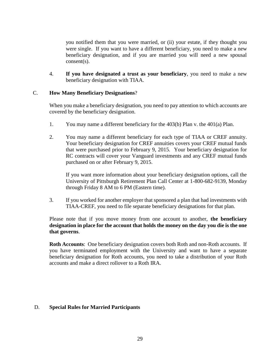you notified them that you were married, or (ii) your estate, if they thought you were single. If you want to have a different beneficiary, you need to make a new beneficiary designation, and if you are married you will need a new spousal consent(s).

4. **If you have designated a trust as your beneficiary**, you need to make a new beneficiary designation with TIAA.

## C. **How Many Beneficiary Designations**?

When you make a beneficiary designation, you need to pay attention to which accounts are covered by the beneficiary designation.

- 1. You may name a different beneficiary for the 403(b) Plan v. the 401(a) Plan.
- 2. You may name a different beneficiary for each type of TIAA or CREF annuity. Your beneficiary designation for CREF annuities covers your CREF mutual funds that were purchased prior to February 9, 2015. Your beneficiary designation for RC contracts will cover your Vanguard investments and any CREF mutual funds purchased on or after February 9, 2015.

If you want more information about your beneficiary designation options, call the University of Pittsburgh Retirement Plan Call Center at 1-800-682-9139, Monday through Friday 8 AM to 6 PM (Eastern time).

3. If you worked for another employer that sponsored a plan that had investments with TIAA-CREF, you need to file separate beneficiary designations for that plan.

Please note that if you move money from one account to another, **the beneficiary designation in place for the account that holds the money on the day you die is the one that governs**.

**Roth Accounts**: One beneficiary designation covers both Roth and non-Roth accounts. If you have terminated employment with the University and want to have a separate beneficiary designation for Roth accounts, you need to take a distribution of your Roth accounts and make a direct rollover to a Roth IRA.

## D. **Special Rules for Married Participants**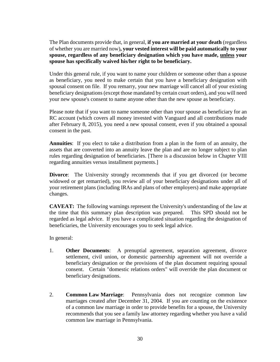The Plan documents provide that, in general, **if you are married at your death** (regardless of whether you are married now)**, your vested interest will be paid automatically to your spouse, regardless of any beneficiary designation which you have made, unless your spouse has specifically waived his/her right to be beneficiary.**

Under this general rule, if you want to name your children or someone other than a spouse as beneficiary, you need to make certain that you have a beneficiary designation with spousal consent on file. If you remarry, your new marriage will cancel all of your existing beneficiary designations (except those mandated by certain court orders), and you will need your new spouse's consent to name anyone other than the new spouse as beneficiary.

Please note that if you want to name someone other than your spouse as beneficiary for an RC account (which covers all money invested with Vanguard and all contributions made after February 8, 2015), you need a new spousal consent, even if you obtained a spousal consent in the past.

**Annuities**: If you elect to take a distribution from a plan in the form of an annuity, the assets that are converted into an annuity leave the plan and are no longer subject to plan rules regarding designation of beneficiaries. [There is a discussion below in Chapter VIII regarding annuities versus installment payments.]

**Divorce**: The University strongly recommends that if you get divorced (or become widowed or get remarried), you review all of your beneficiary designations under all of your retirement plans (including IRAs and plans of other employers) and make appropriate changes.

**CAVEAT:** The following warnings represent the University's understanding of the law at the time that this summary plan description was prepared. This SPD should not be regarded as legal advice. If you have a complicated situation regarding the designation of beneficiaries, the University encourages you to seek legal advice.

In general:

- 1. **Other Documents**: A prenuptial agreement, separation agreement, divorce settlement, civil union, or domestic partnership agreement will not override a beneficiary designation or the provisions of the plan document requiring spousal consent. Certain "domestic relations orders" will override the plan document or beneficiary designations.
- 2. **Common Law Marriage**: Pennsylvania does not recognize common law marriages created after December 31, 2004. If you are counting on the existence of a common law marriage in order to provide benefits for a spouse, the University recommends that you see a family law attorney regarding whether you have a valid common law marriage in Pennsylvania.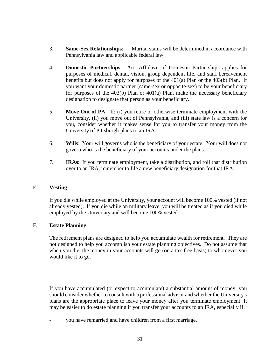- 3. **Same-Sex Relationships**: Marital status will be determined in accordance with Pennsylvania law and applicable federal law.
- 4. **Domestic Partnerships**: An "Affidavit of Domestic Partnership" applies for purposes of medical, dental, vision, group dependent life, and staff bereavement benefits but does not apply for purposes of the 401(a) Plan or the 403(b) Plan. If you want your domestic partner (same-sex or opposite-sex) to be your beneficiary for purposes of the 403(b) Plan or 401(a) Plan, make the necessary beneficiary designation to designate that person as your beneficiary.
- 5. **Move Out of PA**: If: (i) you retire or otherwise terminate employment with the University, (ii) you move out of Pennsylvania, and (iii) state law is a concern for you, consider whether it makes sense for you to transfer your money from the University of Pittsburgh plans to an IRA.
- 6. **Wills**: Your will governs who is the beneficiary of your estate. Your will does not govern who is the beneficiary of your accounts under the plans.
- 7. **IRAs**: If you terminate employment, take a distribution, and roll that distribution over to an IRA, remember to file a new beneficiary designation for that IRA.

## E. **Vesting**

If you die while employed at the University, your account will become 100% vested (if not already vested). If you die while on military leave, you will be treated as if you died while employed by the University and will become 100% vested.

## F. **Estate Planning**

The retirement plans are designed to help you accumulate wealth for retirement. They are not designed to help you accomplish your estate planning objectives. Do not assume that when you die, the money in your accounts will go (on a tax-free basis) to whomever you would like it to go.

If you have accumulated (or expect to accumulate) a substantial amount of money, you should consider whether to consult with a professional advisor and whether the University's plans are the appropriate place to leave your money after you terminate employment. It may be easier to do estate planning if you transfer your accounts to an IRA, especially if:

you have remarried and have children from a first marriage,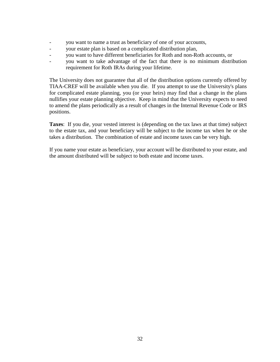- you want to name a trust as beneficiary of one of your accounts,
- your estate plan is based on a complicated distribution plan,
- you want to have different beneficiaries for Roth and non-Roth accounts, or
- you want to take advantage of the fact that there is no minimum distribution requirement for Roth IRAs during your lifetime.

The University does not guarantee that all of the distribution options currently offered by TIAA-CREF will be available when you die. If you attempt to use the University's plans for complicated estate planning, you (or your heirs) may find that a change in the plans nullifies your estate planning objective. Keep in mind that the University expects to need to amend the plans periodically as a result of changes in the Internal Revenue Code or IRS positions.

**Taxes**: If you die, your vested interest is (depending on the tax laws at that time) subject to the estate tax, and your beneficiary will be subject to the income tax when he or she takes a distribution. The combination of estate and income taxes can be very high.

If you name your estate as beneficiary, your account will be distributed to your estate, and the amount distributed will be subject to both estate and income taxes.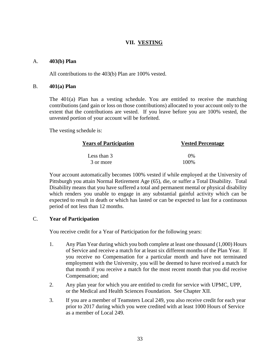## **VII. VESTING**

#### A. **403(b) Plan**

All contributions to the 403(b) Plan are 100% vested.

#### B. **401(a) Plan**

The 401(a) Plan has a vesting schedule. You are entitled to receive the matching contributions (and gain or loss on those contributions) allocated to your account only to the extent that the contributions are vested. If you leave before you are 100% vested, the unvested portion of your account will be forfeited.

The vesting schedule is:

| <b>Years of Participation</b> | <b>Vested Percentage</b> |  |
|-------------------------------|--------------------------|--|
| Less than 3                   | $0\%$                    |  |
| 3 or more                     | 100%                     |  |

Your account automatically becomes 100% vested if while employed at the University of Pittsburgh you attain Normal Retirement Age (65), die, or suffer a Total Disability. Total Disability means that you have suffered a total and permanent mental or physical disability which renders you unable to engage in any substantial gainful activity which can be expected to result in death or which has lasted or can be expected to last for a continuous period of not less than 12 months.

## C. **Year of Participation**

You receive credit for a Year of Participation for the following years:

- 1. Any Plan Year during which you both complete at least one thousand (1,000) Hours of Service and receive a match for at least six different months of the Plan Year. If you receive no Compensation for a particular month and have not terminated employment with the University, you will be deemed to have received a match for that month if you receive a match for the most recent month that you did receive Compensation; and
- 2. Any plan year for which you are entitled to credit for service with UPMC, UPP, or the Medical and Health Sciences Foundation. See Chapter XII.
- 3. If you are a member of Teamsters Local 249, you also receive credit for each year prior to 2017 during which you were credited with at least 1000 Hours of Service as a member of Local 249.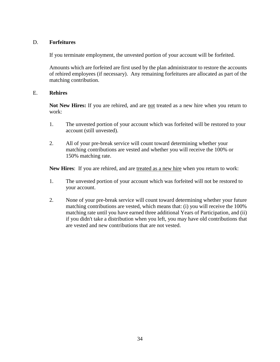## D. **Forfeitures**

If you terminate employment, the unvested portion of your account will be forfeited.

Amounts which are forfeited are first used by the plan administrator to restore the accounts of rehired employees (if necessary). Any remaining forfeitures are allocated as part of the matching contribution.

## E. **Rehires**

Not New Hires: If you are rehired, and are not treated as a new hire when you return to work:

- 1. The unvested portion of your account which was forfeited will be restored to your account (still unvested).
- 2. All of your pre-break service will count toward determining whether your matching contributions are vested and whether you will receive the 100% or 150% matching rate.

**New Hires**: If you are rehired, and are treated as a new hire when you return to work:

- 1. The unvested portion of your account which was forfeited will not be restored to your account.
- 2. None of your pre-break service will count toward determining whether your future matching contributions are vested, which means that: (i) you will receive the 100% matching rate until you have earned three additional Years of Participation, and (ii) if you didn't take a distribution when you left, you may have old contributions that are vested and new contributions that are not vested.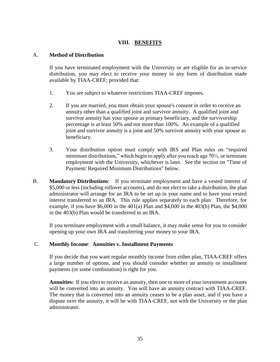## **VIII. BENEFITS**

## A. **Method of Distribution**

If you have terminated employment with the University or are eligible for an in-service distribution, you may elect to receive your money in any form of distribution made available by TIAA-CREF; provided that:

- 1. You are subject to whatever restrictions TIAA-CREF imposes.
- 2. If you are married, you must obtain your spouse's consent in order to receive an annuity other than a qualified joint and survivor annuity. A qualified joint and survivor annuity has your spouse as primary beneficiary, and the survivorship percentage is at least 50% and not more than 100%. An example of a qualified joint and survivor annuity is a joint and 50% survivor annuity with your spouse as beneficiary.
- 3. Your distribution option must comply with IRS and Plan rules on "required minimum distributions," which begin to apply after you reach age 70½, or terminate employment with the University, whichever is later. See the section on "Time of Payment/ Required Minimum Distributions" below.
- B. **Mandatory Distributions**: If you terminate employment and have a vested interest of \$5,000 or less (including rollover accounts), and do not elect to take a distribution, the plan administrator will arrange for an IRA to be set up in your name and to have your vested interest transferred to an IRA. This rule applies separately to each plan. Therefore, for example, if you have  $$6,000$  in the  $401(a)$  Plan and  $$4,000$  in the  $403(b)$  Plan, the  $$4,000$ in the 403(b) Plan would be transferred to an IRA.

If you terminate employment with a small balance, it may make sense for you to consider opening up your own IRA and transferring your money to your IRA.

## C. **Monthly Income**: **Annuities v. Installment Payments**

If you decide that you want regular monthly income from either plan, TIAA-CREF offers a large number of options, and you should consider whether an annuity or installment payments (or some combination) is right for you.

**Annuities:** If you elect to receive an annuity, then one or more of your investment accounts will be converted into an annuity. You will have an annuity contract with TIAA-CREF. The money that is converted into an annuity ceases to be a plan asset, and if you have a dispute over the annuity, it will be with TIAA-CREF, not with the University or the plan administrator.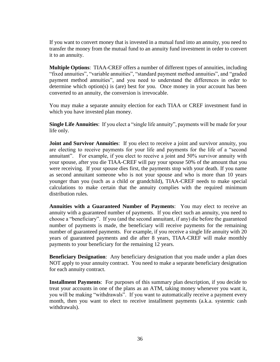If you want to convert money that is invested in a mutual fund into an annuity, you need to transfer the money from the mutual fund to an annuity fund investment in order to convert it to an annuity.

**Multiple Options**: TIAA-CREF offers a number of different types of annuities, including "fixed annuities", "variable annuities", "standard payment method annuities", and "graded payment method annuities", and you need to understand the differences in order to determine which option(s) is (are) best for you. Once money in your account has been converted to an annuity, the conversion is irrevocable.

You may make a separate annuity election for each TIAA or CREF investment fund in which you have invested plan money.

**Single Life Annuities**: If you elect a "single life annuity", payments will be made for your life only.

**Joint and Survivor Annuities**: If you elect to receive a joint and survivor annuity, you are electing to receive payments for your life and payments for the life of a "second annuitant". For example, if you elect to receive a joint and 50% survivor annuity with your spouse, after you die TIAA-CREF will pay your spouse 50% of the amount that you were receiving. If your spouse dies first, the payments stop with your death. If you name as second annuitant someone who is not your spouse and who is more than 10 years younger than you (such as a child or grandchild), TIAA-CREF needs to make special calculations to make certain that the annuity complies with the required minimum distribution rules.

**Annuities with a Guaranteed Number of Payments**: You may elect to receive an annuity with a guaranteed number of payments. If you elect such an annuity, you need to choose a "beneficiary". If you (and the second annuitant, if any) die before the guaranteed number of payments is made, the beneficiary will receive payments for the remaining number of guaranteed payments. For example, if you receive a single life annuity with 20 years of guaranteed payments and die after 8 years, TIAA-CREF will make monthly payments to your beneficiary for the remaining 12 years.

**Beneficiary Designation:** Any beneficiary designation that you made under a plan does NOT apply to your annuity contract. You need to make a separate beneficiary designation for each annuity contract.

**Installment Payments**: For purposes of this summary plan description, if you decide to treat your accounts in one of the plans as an ATM, taking money whenever you want it, you will be making "withdrawals". If you want to automatically receive a payment every month, then you want to elect to receive installment payments (a.k.a. systemic cash withdrawals).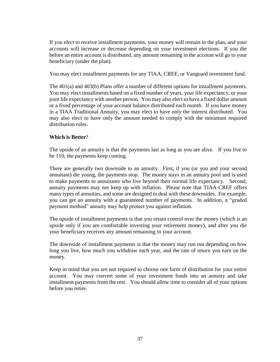If you elect to receive installment payments, your money will remain in the plan, and your accounts will increase or decrease depending on your investment elections. If you die before an entire account is distributed, any amount remaining in the account will go to your beneficiary (under the plan).

You may elect installment payments for any TIAA, CREF, or Vanguard investment fund.

The 401(a) and 403(b) Plans offer a number of different options for installment payments. You may elect installments based on a fixed number of years, your life expectancy, or your joint life expectancy with another person. You may also elect to have a fixed dollar amount or a fixed percentage of your account balance distributed each month. If you have money in a TIAA Traditional Annuity, you may elect to have only the interest distributed. You may also elect to have only the amount needed to comply with the minimum required distribution rules.

## **Which is Better**?

The upside of an annuity is that the payments last as long as you are alive. If you live to be 110, the payments keep coming.

There are generally two downside to an annuity. First, if you (or you and your second annuitant) die young, the payments stop. The money stays in an annuity pool and is used to make payments to annuitants who live beyond their normal life expectancy. Second, annuity payments may not keep up with inflation. Please note that TIAA-CREF offers many types of annuities, and some are designed to deal with these downsides. For example, you can get an annuity with a guaranteed number of payments. In addition, a "graded payment method" annuity may help protect you against inflation.

The upside of installment payments is that you retain control over the money (which is an upside only if you are comfortable investing your retirement money), and after you die your beneficiary receives any amount remaining in your account.

The downside of installment payments is that the money may run out depending on how long you live, how much you withdraw each year, and the rate of return you earn on the money.

Keep in mind that you are not required to choose one form of distribution for your entire account. You may convert some of your investment funds into an annuity and take installment payments from the rest. You should allow time to consider all of your options before you retire.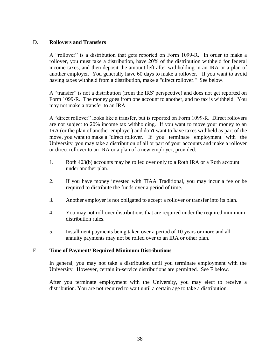## D. **Rollovers and Transfers**

A "rollover" is a distribution that gets reported on Form 1099-R. In order to make a rollover, you must take a distribution, have 20% of the distribution withheld for federal income taxes, and then deposit the amount left after withholding in an IRA or a plan of another employer. You generally have 60 days to make a rollover. If you want to avoid having taxes withheld from a distribution, make a "direct rollover." See below.

A "transfer" is not a distribution (from the IRS' perspective) and does not get reported on Form 1099-R. The money goes from one account to another, and no tax is withheld. You may not make a transfer to an IRA.

A "direct rollover" looks like a transfer, but is reported on Form 1099-R. Direct rollovers are not subject to 20% income tax withholding. If you want to move your money to an IRA (or the plan of another employer) and don't want to have taxes withheld as part of the move, you want to make a "direct rollover." If you terminate employment with the University, you may take a distribution of all or part of your accounts and make a rollover or direct rollover to an IRA or a plan of a new employer; provided:

- 1. Roth 403(b) accounts may be rolled over only to a Roth IRA or a Roth account under another plan.
- 2. If you have money invested with TIAA Traditional, you may incur a fee or be required to distribute the funds over a period of time.
- 3. Another employer is not obligated to accept a rollover or transfer into its plan.
- 4. You may not roll over distributions that are required under the required minimum distribution rules.
- 5. Installment payments being taken over a period of 10 years or more and all annuity payments may not be rolled over to an IRA or other plan.

## E. **Time of Payment/ Required Minimum Distributions**

In general, you may not take a distribution until you terminate employment with the University. However, certain in-service distributions are permitted. See F below.

After you terminate employment with the University, you may elect to receive a distribution. You are not required to wait until a certain age to take a distribution.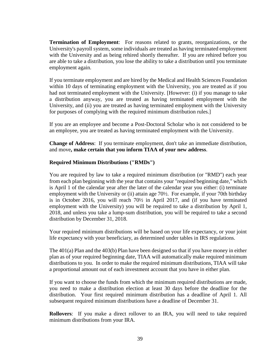**Termination of Employment**: For reasons related to grants, reorganizations, or the University's payroll system, some individuals are treated as having terminated employment with the University and as being rehired shortly thereafter. If you are rehired before you are able to take a distribution, you lose the ability to take a distribution until you terminate employment again.

If you terminate employment and are hired by the Medical and Health Sciences Foundation within 10 days of terminating employment with the University, you are treated as if you had not terminated employment with the University. [However: (i) if you manage to take a distribution anyway, you are treated as having terminated employment with the University, and (ii) you are treated as having terminated employment with the University for purposes of complying with the required minimum distribution rules.]

If you are an employee and become a Post-Doctoral Scholar who is not considered to be an employee, you are treated as having terminated employment with the University.

**Change of Address**: If you terminate employment, don't take an immediate distribution, and move**, make certain that you inform TIAA of your new address**.

## **Required Minimum Distributions ("RMDs")**

You are required by law to take a required minimum distribution (or "RMD") each year from each plan beginning with the year that contains your "required beginning date," which is April 1 of the calendar year after the later of the calendar year you either: (i) terminate employment with the University or (ii) attain age 70½. For example, if your 70th birthday is in October 2016, you will reach 70½ in April 2017, and (if you have terminated employment with the University) you will be required to take a distribution by April 1, 2018, and unless you take a lump-sum distribution, you will be required to take a second distribution by December 31, 2018.

Your required minimum distributions will be based on your life expectancy, or your joint life expectancy with your beneficiary, as determined under tables in IRS regulations.

The 401(a) Plan and the 403(b) Plan have been designed so that if you have money in either plan as of your required beginning date, TIAA will automatically make required minimum distributions to you. In order to make the required minimum distributions, TIAA will take a proportional amount out of each investment account that you have in either plan.

If you want to choose the funds from which the minimum required distributions are made, you need to make a distribution election at least 30 days before the deadline for the distribution. Your first required minimum distribution has a deadline of April 1. All subsequent required minimum distributions have a deadline of December 31.

**Rollovers**: If you make a direct rollover to an IRA, you will need to take required minimum distributions from your IRA.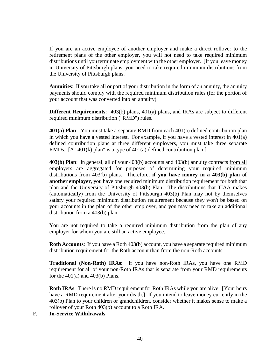If you are an active employee of another employer and make a direct rollover to the retirement plans of the other employer, you will not need to take required minimum distributions until you terminate employment with the other employer. [If you leave money in University of Pittsburgh plans, you need to take required minimum distributions from the University of Pittsburgh plans.]

**Annuities**: If you take all or part of your distribution in the form of an annuity, the annuity payments should comply with the required minimum distribution rules (for the portion of your account that was converted into an annuity).

**Different Requirements**: 403(b) plans, 401(a) plans, and IRAs are subject to different required minimum distribution ("RMD") rules.

**401(a) Plan**: You must take a separate RMD from each 401(a) defined contribution plan in which you have a vested interest. For example, if you have a vested interest in 401(a) defined contribution plans at three different employers, you must take three separate RMDs. [A "401(k) plan" is a type of 401(a) defined contribution plan.]

**403(b) Plan**: In general, all of your 403(b) accounts and 403(b) annuity contracts from all employers are aggregated for purposes of determining your required minimum distributions from 403(b) plans. Therefore, **if you have money in a 403(b) plan of another employer**, you have one required minimum distribution requirement for both that plan and the University of Pittsburgh 403(b) Plan. The distributions that TIAA makes (automatically) from the University of Pittsburgh 403(b) Plan may not by themselves satisfy your required minimum distribution requirement because they won't be based on your accounts in the plan of the other employer, and you may need to take an additional distribution from a 403(b) plan.

You are not required to take a required minimum distribution from the plan of any employer for whom you are still an active employee.

**Roth Accounts**: If you have a Roth 403(b) account, you have a separate required minimum distribution requirement for the Roth account than from the non-Roth accounts.

**Traditional** (**Non-Roth) IRAs**: If you have non-Roth IRAs, you have one RMD requirement for all of your non-Roth IRAs that is separate from your RMD requirements for the  $401(a)$  and  $403(b)$  Plans.

**Roth IRAs**: There is no RMD requirement for Roth IRAs while you are alive. [Your heirs have a RMD requirement after your death.] If you intend to leave money currently in the 403(b) Plan to your children or grandchildren, consider whether it makes sense to make a rollover of your Roth 403(b) account to a Roth IRA.

## F. **In-Service Withdrawals**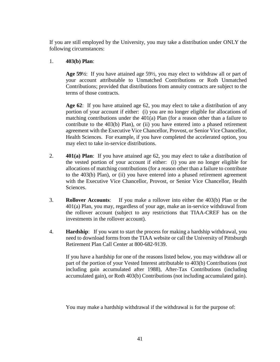If you are still employed by the University, you may take a distribution under ONLY the following circumstances:

## 1. **403(b) Plan**:

**Age 59½**: If you have attained age 59½, you may elect to withdraw all or part of your account attributable to Unmatched Contributions or Roth Unmatched Contributions; provided that distributions from annuity contracts are subject to the terms of those contracts.

**Age 62**: If you have attained age 62, you may elect to take a distribution of any portion of your account if either: (i) you are no longer eligible for allocations of matching contributions under the 401(a) Plan (for a reason other than a failure to contribute to the 403(b) Plan), or (ii) you have entered into a phased retirement agreement with the Executive Vice Chancellor, Provost, or Senior Vice Chancellor, Health Sciences. For example, if you have completed the accelerated option, you may elect to take in-service distributions.

- 2. **401(a) Plan**: If you have attained age 62, you may elect to take a distribution of the vested portion of your account if either: (i) you are no longer eligible for allocations of matching contributions (for a reason other than a failure to contribute to the 403(b) Plan), or (ii) you have entered into a phased retirement agreement with the Executive Vice Chancellor, Provost, or Senior Vice Chancellor, Health Sciences.
- 3. **Rollover Accounts**: If you make a rollover into either the 403(b) Plan or the 401(a) Plan, you may, regardless of your age, make an in-service withdrawal from the rollover account (subject to any restrictions that TIAA-CREF has on the investments in the rollover account).
- 4. **Hardship**: If you want to start the process for making a hardship withdrawal, you need to download forms from the TIAA website or call the University of Pittsburgh Retirement Plan Call Center at 800-682-9139.

If you have a hardship for one of the reasons listed below, you may withdraw all or part of the portion of your Vested Interest attributable to 403(b) Contributions (not including gain accumulated after 1988), After-Tax Contributions (including accumulated gain), or Roth 403(b) Contributions (not including accumulated gain).

You may make a hardship withdrawal if the withdrawal is for the purpose of: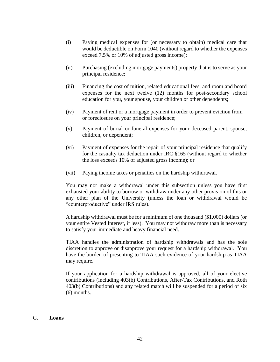- (i) Paying medical expenses for (or necessary to obtain) medical care that would be deductible on Form 1040 (without regard to whether the expenses exceed 7.5% or 10% of adjusted gross income);
- (ii) Purchasing (excluding mortgage payments) property that is to serve as your principal residence;
- (iii) Financing the cost of tuition, related educational fees, and room and board expenses for the next twelve (12) months for post-secondary school education for you, your spouse, your children or other dependents;
- (iv) Payment of rent or a mortgage payment in order to prevent eviction from or foreclosure on your principal residence;
- (v) Payment of burial or funeral expenses for your deceased parent, spouse, children, or dependent;
- (vi) Payment of expenses for the repair of your principal residence that qualify for the casualty tax deduction under IRC §165 (without regard to whether the loss exceeds 10% of adjusted gross income); or
- (vii) Paying income taxes or penalties on the hardship withdrawal.

You may not make a withdrawal under this subsection unless you have first exhausted your ability to borrow or withdraw under any other provision of this or any other plan of the University (unless the loan or withdrawal would be "counterproductive" under IRS rules).

A hardship withdrawal must be for a minimum of one thousand (\$1,000) dollars (or your entire Vested Interest, if less). You may not withdraw more than is necessary to satisfy your immediate and heavy financial need.

TIAA handles the administration of hardship withdrawals and has the sole discretion to approve or disapprove your request for a hardship withdrawal. You have the burden of presenting to TIAA such evidence of your hardship as TIAA may require.

If your application for a hardship withdrawal is approved, all of your elective contributions (including 403(b) Contributions, After-Tax Contributions, and Roth 403(b) Contributions) and any related match will be suspended for a period of six (6) months.

#### G. **Loans**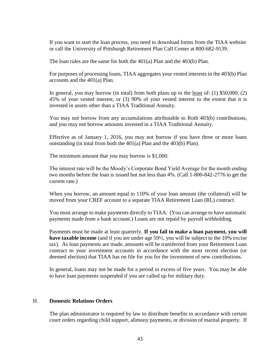If you want to start the loan process, you need to download forms from the TIAA website or call the University of Pittsburgh Retirement Plan Call Center at 800-682-9139.

The loan rules are the same for both the 401(a) Plan and the 403(b) Plan.

For purposes of processing loans, TIAA aggregates your vested interests in the 403(b) Plan accounts and the 401(a) Plan.

In general, you may borrow (in total) from both plans up to the <u>least</u> of:  $(1)$  \$50,000,  $(2)$ 45% of your vested interest, or (3) 90% of your vested interest to the extent that it is invested in assets other than a TIAA Traditional Annuity.

You may not borrow from any accumulations attributable to Roth 403(b) contributions, and you may not borrow amounts invested in a TIAA Traditional Annuity.

Effective as of January 1, 2016, you may not borrow if you have three or more loans outstanding (in total from both the 401(a) Plan and the 403(b) Plan).

The minimum amount that you may borrow is \$1,000.

The interest rate will be the Moody's Corporate Bond Yield Average for the month ending two months before the loan is issued but not less than 4%. (Call 1-800-842-2776 to get the current rate.)

When you borrow, an amount equal to 110% of your loan amount (the collateral) will be moved from your CREF account to a separate TIAA Retirement Loan (RL) contract.

You must arrange to make payments directly to TIAA. (You can arrange to have automatic payments made from a bank account.) Loans are not repaid by payroll withholding.

Payments must be made at least quarterly. **If you fail to make a loan payment, you will have taxable income** (and if you are under age 59½, you will be subject to the 10% excise tax). As loan payments are made, amounts will be transferred from your Retirement Loan contract to your investment accounts in accordance with the most recent election (or deemed election) that TIAA has on file for you for the investment of new contributions.

In general, loans may not be made for a period in excess of five years. You may be able to have loan payments suspended if you are called up for military duty.

#### H. **Domestic Relations Orders**

The plan administrator is required by law to distribute benefits in accordance with certain court orders regarding child support, alimony payments, or division of marital property. If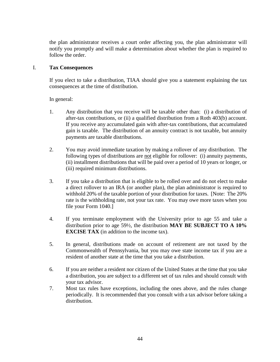the plan administrator receives a court order affecting you, the plan administrator will notify you promptly and will make a determination about whether the plan is required to follow the order.

## I. **Tax Consequences**

If you elect to take a distribution, TIAA should give you a statement explaining the tax consequences at the time of distribution.

In general:

- 1. Any distribution that you receive will be taxable other than: (i) a distribution of after-tax contributions, or (ii) a qualified distribution from a Roth 403(b) account. If you receive any accumulated gain with after-tax contributions, that accumulated gain is taxable. The distribution of an annuity contract is not taxable, but annuity payments are taxable distributions.
- 2. You may avoid immediate taxation by making a rollover of any distribution. The following types of distributions are not eligible for rollover: (i) annuity payments, (ii) installment distributions that will be paid over a period of 10 years or longer, or (iii) required minimum distributions.
- 3. If you take a distribution that is eligible to be rolled over and do not elect to make a direct rollover to an IRA (or another plan), the plan administrator is required to withhold 20% of the taxable portion of your distribution for taxes. [Note: The 20% rate is the withholding rate, not your tax rate. You may owe more taxes when you file your Form 1040.]
- 4. If you terminate employment with the University prior to age 55 and take a distribution prior to age 59½, the distribution **MAY BE SUBJECT TO A 10% EXCISE TAX** (in addition to the income tax).
- 5. In general, distributions made on account of retirement are not taxed by the Commonwealth of Pennsylvania, but you may owe state income tax if you are a resident of another state at the time that you take a distribution.
- 6. If you are neither a resident nor citizen of the United States at the time that you take a distribution, you are subject to a different set of tax rules and should consult with your tax advisor.
- 7. Most tax rules have exceptions, including the ones above, and the rules change periodically. It is recommended that you consult with a tax advisor before taking a distribution.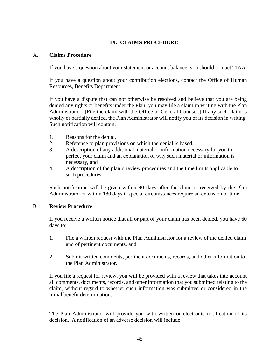## **IX. CLAIMS PROCEDURE**

## A. **Claims Procedure**

If you have a question about your statement or account balance, you should contact TIAA.

If you have a question about your contribution elections, contact the Office of Human Resources, Benefits Department.

If you have a dispute that can not otherwise be resolved and believe that you are being denied any rights or benefits under the Plan, you may file a claim in writing with the Plan Administrator. [File the claim with the Office of General Counsel.] If any such claim is wholly or partially denied, the Plan Administrator will notify you of its decision in writing. Such notification will contain:

- 1. Reasons for the denial,
- 2. Reference to plan provisions on which the denial is based,
- 3. A description of any additional material or information necessary for you to perfect your claim and an explanation of why such material or information is necessary, and
- 4. A description of the plan's review procedures and the time limits applicable to such procedures.

Such notification will be given within 90 days after the claim is received by the Plan Administrator or within 180 days if special circumstances require an extension of time.

## B. **Review Procedure**

If you receive a written notice that all or part of your claim has been denied, you have 60 days to:

- 1. File a written request with the Plan Administrator for a review of the denied claim and of pertinent documents, and
- 2. Submit written comments, pertinent documents, records, and other information to the Plan Administrator.

If you file a request for review, you will be provided with a review that takes into account all comments, documents, records, and other information that you submitted relating to the claim, without regard to whether such information was submitted or considered in the initial benefit determination.

The Plan Administrator will provide you with written or electronic notification of its decision. A notification of an adverse decision will include: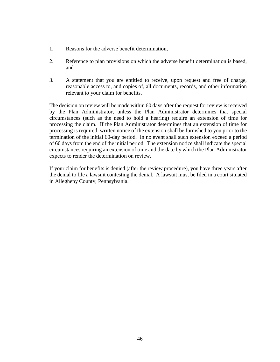- 1. Reasons for the adverse benefit determination,
- 2. Reference to plan provisions on which the adverse benefit determination is based, and
- 3. A statement that you are entitled to receive, upon request and free of charge, reasonable access to, and copies of, all documents, records, and other information relevant to your claim for benefits.

The decision on review will be made within 60 days after the request for review is received by the Plan Administrator, unless the Plan Administrator determines that special circumstances (such as the need to hold a hearing) require an extension of time for processing the claim. If the Plan Administrator determines that an extension of time for processing is required, written notice of the extension shall be furnished to you prior to the termination of the initial 60-day period. In no event shall such extension exceed a period of 60 days from the end of the initial period. The extension notice shall indicate the special circumstances requiring an extension of time and the date by which the Plan Administrator expects to render the determination on review.

If your claim for benefits is denied (after the review procedure), you have three years after the denial to file a lawsuit contesting the denial. A lawsuit must be filed in a court situated in Allegheny County, Pennsylvania.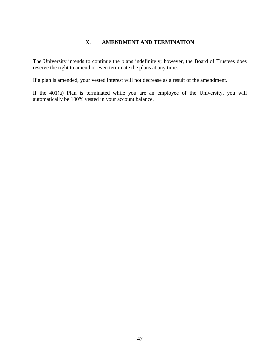## **X**. **AMENDMENT AND TERMINATION**

The University intends to continue the plans indefinitely; however, the Board of Trustees does reserve the right to amend or even terminate the plans at any time.

If a plan is amended, your vested interest will not decrease as a result of the amendment.

If the 401(a) Plan is terminated while you are an employee of the University, you will automatically be 100% vested in your account balance.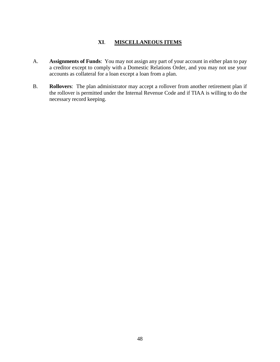## **XI**. **MISCELLANEOUS ITEMS**

- A. **Assignments of Funds**: You may not assign any part of your account in either plan to pay a creditor except to comply with a Domestic Relations Order, and you may not use your accounts as collateral for a loan except a loan from a plan.
- B. **Rollovers**: The plan administrator may accept a rollover from another retirement plan if the rollover is permitted under the Internal Revenue Code and if TIAA is willing to do the necessary record keeping.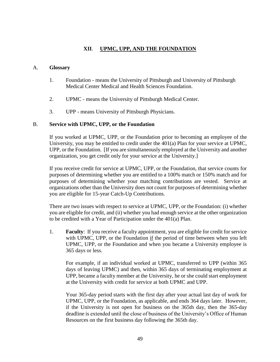## **XII**. **UPMC, UPP, AND THE FOUNDATION**

## A. **Glossary**

- 1. Foundation means the University of Pittsburgh and University of Pittsburgh Medical Center Medical and Health Sciences Foundation.
- 2. UPMC means the University of Pittsburgh Medical Center.
- 3. UPP means University of Pittsburgh Physicians.

## B. **Service with UPMC, UPP, or the Foundation**

If you worked at UPMC, UPP, or the Foundation prior to becoming an employee of the University, you may be entitled to credit under the 401(a) Plan for your service at UPMC, UPP, or the Foundation. [If you are simultaneously employed at the University and another organization, you get credit only for your service at the University.]

If you receive credit for service at UPMC, UPP, or the Foundation, that service counts for purposes of determining whether you are entitled to a 100% match or 150% match and for purposes of determining whether your matching contributions are vested. Service at organizations other than the University does not count for purposes of determining whether you are eligible for 15-year Catch-Up Contributions.

There are two issues with respect to service at UPMC, UPP, or the Foundation: (i) whether you are eligible for credit, and (ii) whether you had enough service at the other organization to be credited with a Year of Participation under the 401(a) Plan.

1. **Faculty**: If you receive a faculty appointment, you are eligible for credit for service with UPMC, UPP, or the Foundation if the period of time between when you left UPMC, UPP, or the Foundation and when you became a University employee is 365 days or less.

For example, if an individual worked at UPMC, transferred to UPP (within 365 days of leaving UPMC) and then, within 365 days of terminating employment at UPP, became a faculty member at the University, he or she could start employment at the University with credit for service at both UPMC and UPP.

Your 365-day period starts with the first day after your actual last day of work for UPMC, UPP, or the Foundation, as applicable, and ends 364 days later. However, if the University is not open for business on the 365th day, then the 365-day deadline is extended until the close of business of the University's Office of Human Resources on the first business day following the 365th day.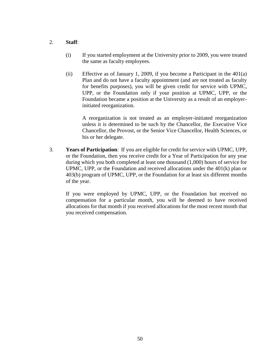## 2. **Staff**:

- (i) If you started employment at the University prior to 2009, you were treated the same as faculty employees.
- (ii) Effective as of January 1, 2009, if you become a Participant in the  $401(a)$ Plan and do not have a faculty appointment (and are not treated as faculty for benefits purposes), you will be given credit for service with UPMC, UPP, or the Foundation only if your position at UPMC, UPP, or the Foundation became a position at the University as a result of an employerinitiated reorganization.

A reorganization is not treated as an employer-initiated reorganization unless it is determined to be such by the Chancellor, the Executive Vice Chancellor, the Provost, or the Senior Vice Chancellor, Health Sciences, or his or her delegate.

3. **Years of Participation**: If you are eligible for credit for service with UPMC, UPP, or the Foundation, then you receive credit for a Year of Participation for any year during which you both completed at least one thousand (1,000) hours of service for UPMC, UPP, or the Foundation and received allocations under the 401(k) plan or 403(b) program of UPMC, UPP, or the Foundation for at least six different months of the year.

If you were employed by UPMC, UPP, or the Foundation but received no compensation for a particular month, you will be deemed to have received allocations for that month if you received allocations for the most recent month that you received compensation.